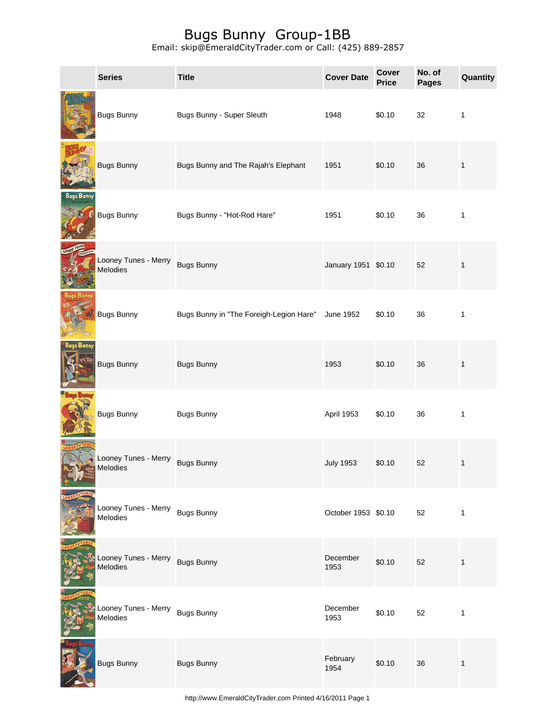|                   | <b>Series</b>                               | <b>Title</b>                            | <b>Cover Date</b>   | Cover<br><b>Price</b> | No. of<br><b>Pages</b> | Quantity     |
|-------------------|---------------------------------------------|-----------------------------------------|---------------------|-----------------------|------------------------|--------------|
|                   | <b>Bugs Bunny</b>                           | Bugs Bunny - Super Sleuth               | 1948                | \$0.10                | 32                     | $\mathbf{1}$ |
|                   | <b>Bugs Bunny</b>                           | Bugs Bunny and The Rajah's Elephant     | 1951                | \$0.10                | 36                     | $\mathbf{1}$ |
| <b>Bugs Bunny</b> | <b>Bugs Bunny</b>                           | Bugs Bunny - "Hot-Rod Hare"             | 1951                | \$0.10                | 36                     | 1            |
|                   | Looney Tunes - Merry<br><b>Melodies</b>     | <b>Bugs Bunny</b>                       | January 1951 \$0.10 |                       | 52                     | $\mathbf{1}$ |
|                   | <b>Bugs Bunny</b>                           | Bugs Bunny in "The Foreigh-Legion Hare" | June 1952           | \$0.10                | 36                     | 1            |
| Bugs Bunny        | <b>Bugs Bunny</b>                           | <b>Bugs Bunny</b>                       | 1953                | \$0.10                | 36                     | $\mathbf{1}$ |
|                   | <b>Bugs Bunny</b>                           | <b>Bugs Bunny</b>                       | April 1953          | \$0.10                | 36                     | $\mathbf{1}$ |
|                   | Looney Tunes - Merry<br>Melodies            | <b>Bugs Bunny</b>                       | <b>July 1953</b>    | \$0.10                | 52                     | $\mathbf{1}$ |
|                   | Looney Tunes - Merry Bugs Bunny<br>Melodies |                                         | October 1953 \$0.10 |                       | 52                     | $\mathbf{1}$ |
|                   | Looney Tunes - Merry<br>Melodies            | <b>Bugs Bunny</b>                       | December<br>1953    | \$0.10                | 52                     | $\mathbf{1}$ |
|                   | Looney Tunes - Merry<br>Melodies            | <b>Bugs Bunny</b>                       | December<br>1953    | \$0.10                | 52                     | 1            |
|                   | <b>Bugs Bunny</b>                           | <b>Bugs Bunny</b>                       | February<br>1954    | \$0.10                | 36                     | $\mathbf 1$  |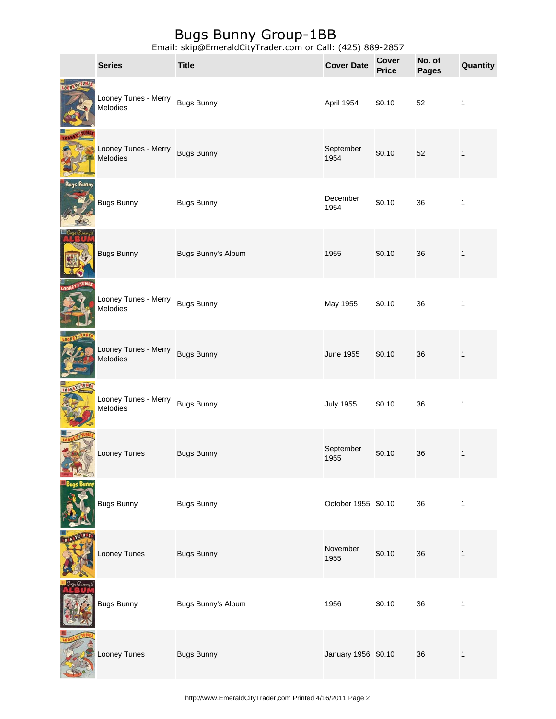|                   | <b>Series</b>                    | <b>Title</b>       | <b>Cover Date</b>   | Cover<br><b>Price</b> | No. of<br><b>Pages</b> | Quantity     |
|-------------------|----------------------------------|--------------------|---------------------|-----------------------|------------------------|--------------|
| TUNES<br>LOONEY   | Looney Tunes - Merry<br>Melodies | <b>Bugs Bunny</b>  | April 1954          | \$0.10                | 52                     | 1            |
|                   | Looney Tunes - Merry<br>Melodies | <b>Bugs Bunny</b>  | September<br>1954   | \$0.10                | 52                     | $\mathbf{1}$ |
| <b>Bugs Bunny</b> | <b>Bugs Bunny</b>                | <b>Bugs Bunny</b>  | December<br>1954    | \$0.10                | 36                     | 1            |
|                   | <b>Bugs Bunny</b>                | Bugs Bunny's Album | 1955                | \$0.10                | 36                     | $\mathbf{1}$ |
|                   | Looney Tunes - Merry<br>Melodies | <b>Bugs Bunny</b>  | May 1955            | \$0.10                | 36                     | 1            |
|                   | Looney Tunes - Merry<br>Melodies | <b>Bugs Bunny</b>  | <b>June 1955</b>    | \$0.10                | 36                     | $\mathbf{1}$ |
|                   | Looney Tunes - Merry<br>Melodies | <b>Bugs Bunny</b>  | <b>July 1955</b>    | \$0.10                | 36                     | 1            |
|                   | Looney Tunes                     | <b>Bugs Bunny</b>  | September<br>1955   | \$0.10                | 36                     | $\mathbf{1}$ |
|                   | <b>Bugs Bunny</b>                | <b>Bugs Bunny</b>  | October 1955 \$0.10 |                       | 36                     | $\mathbf{1}$ |
|                   | Looney Tunes                     | <b>Bugs Bunny</b>  | November<br>1955    | \$0.10                | 36                     | $\mathbf{1}$ |
|                   | <b>Bugs Bunny</b>                | Bugs Bunny's Album | 1956                | \$0.10                | 36                     | $\mathbf{1}$ |
|                   | Looney Tunes                     | <b>Bugs Bunny</b>  | January 1956 \$0.10 |                       | 36                     | $\mathbf{1}$ |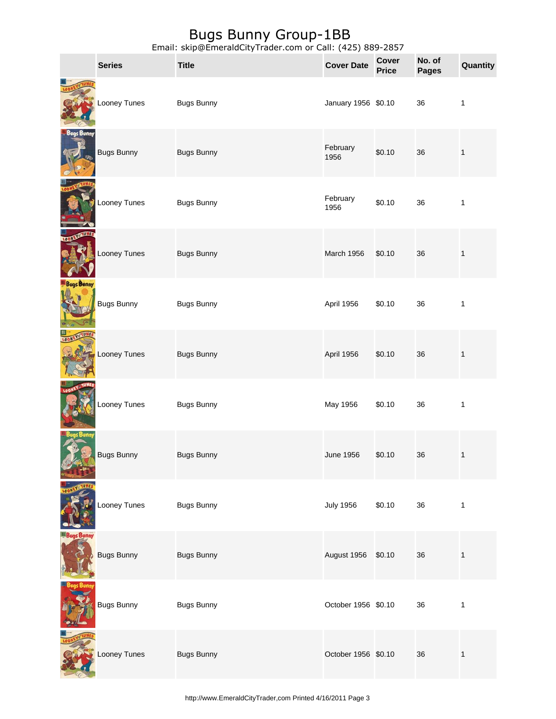|                   | <b>Series</b>     | <b>Title</b>      | <b>Cover Date</b>   | Cover<br><b>Price</b> | No. of<br><b>Pages</b> | Quantity     |
|-------------------|-------------------|-------------------|---------------------|-----------------------|------------------------|--------------|
|                   | Looney Tunes      | <b>Bugs Bunny</b> | January 1956 \$0.10 |                       | 36                     | $\mathbf{1}$ |
| Bugs Bunny        | <b>Bugs Bunny</b> | <b>Bugs Bunny</b> | February<br>1956    | \$0.10                | 36                     | $\mathbf{1}$ |
|                   | Looney Tunes      | <b>Bugs Bunny</b> | February<br>1956    | \$0.10                | 36                     | $\mathbf{1}$ |
| <b>LOON</b>       | Looney Tunes      | <b>Bugs Bunny</b> | March 1956          | \$0.10                | 36                     | $\mathbf{1}$ |
| <b>Bugs Bunny</b> | <b>Bugs Bunny</b> | <b>Bugs Bunny</b> | April 1956          | \$0.10                | 36                     | 1            |
|                   | Looney Tunes      | <b>Bugs Bunny</b> | April 1956          | \$0.10                | 36                     | $\mathbf{1}$ |
|                   | Looney Tunes      | <b>Bugs Bunny</b> | May 1956            | \$0.10                | 36                     | $\mathbf{1}$ |
|                   | <b>Bugs Bunny</b> | <b>Bugs Bunny</b> | <b>June 1956</b>    | \$0.10                | 36                     | $\mathbf{1}$ |
|                   | Looney Tunes      | <b>Bugs Bunny</b> | <b>July 1956</b>    | \$0.10                | 36                     | $\mathbf{1}$ |
|                   | <b>Bugs Bunny</b> | <b>Bugs Bunny</b> | August 1956         | \$0.10                | 36                     | $\mathbf{1}$ |
|                   | <b>Bugs Bunny</b> | <b>Bugs Bunny</b> | October 1956 \$0.10 |                       | 36                     | 1            |
|                   | Looney Tunes      | <b>Bugs Bunny</b> | October 1956 \$0.10 |                       | 36                     | $\mathbf{1}$ |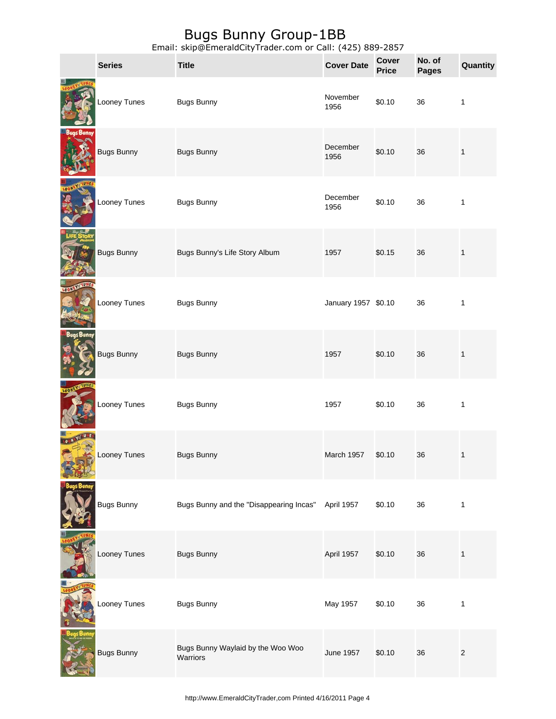| <b>Series</b>     | <b>Title</b>                                  | <b>Cover Date</b>   | <b>Cover</b><br><b>Price</b> | No. of<br><b>Pages</b> | Quantity     |
|-------------------|-----------------------------------------------|---------------------|------------------------------|------------------------|--------------|
| Looney Tunes      | <b>Bugs Bunny</b>                             | November<br>1956    | \$0.10                       | 36                     | $\mathbf{1}$ |
| Bugs Bunny        | <b>Bugs Bunny</b>                             | December<br>1956    | \$0.10                       | 36                     | $\mathbf 1$  |
| Looney Tunes      | <b>Bugs Bunny</b>                             | December<br>1956    | \$0.10                       | 36                     | $\mathbf{1}$ |
| <b>Bugs Bunny</b> | Bugs Bunny's Life Story Album                 | 1957                | \$0.15                       | 36                     | $\mathbf{1}$ |
| Looney Tunes      | <b>Bugs Bunny</b>                             | January 1957 \$0.10 |                              | 36                     | $\mathbf{1}$ |
| <b>Bugs Bunny</b> | <b>Bugs Bunny</b>                             | 1957                | \$0.10                       | 36                     | $\mathbf{1}$ |
| Looney Tunes      | <b>Bugs Bunny</b>                             | 1957                | \$0.10                       | 36                     | 1            |
| Looney Tunes      | <b>Bugs Bunny</b>                             | March 1957          | \$0.10                       | 36                     | $\mathbf{1}$ |
| Bugs Bunny        | Bugs Bunny and the "Disappearing Incas"       | April 1957          | \$0.10                       | 36                     | $\mathbf{1}$ |
| Looney Tunes      | <b>Bugs Bunny</b>                             | April 1957          | \$0.10                       | 36                     | $\mathbf{1}$ |
| Looney Tunes      | <b>Bugs Bunny</b>                             | May 1957            | \$0.10                       | 36                     | $\mathbf{1}$ |
| <b>Bugs Bunny</b> | Bugs Bunny Waylaid by the Woo Woo<br>Warriors | <b>June 1957</b>    | \$0.10                       | 36                     | $\mathbf{2}$ |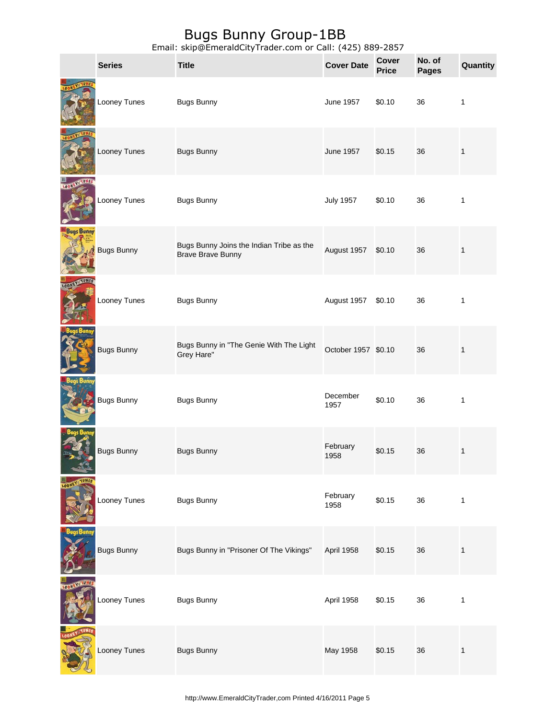|                        | <b>Series</b>     | <b>Title</b>                                                         | <b>Cover Date</b>   | <b>Cover</b><br><b>Price</b> | No. of<br><b>Pages</b> | Quantity     |
|------------------------|-------------------|----------------------------------------------------------------------|---------------------|------------------------------|------------------------|--------------|
|                        | Looney Tunes      | <b>Bugs Bunny</b>                                                    | <b>June 1957</b>    | \$0.10                       | 36                     | 1            |
|                        | Looney Tunes      | <b>Bugs Bunny</b>                                                    | June 1957           | \$0.15                       | 36                     | $\mathbf{1}$ |
| LOON                   | Looney Tunes      | <b>Bugs Bunny</b>                                                    | <b>July 1957</b>    | \$0.10                       | 36                     | 1            |
| <b>Bugs Bunny</b>      | <b>Bugs Bunny</b> | Bugs Bunny Joins the Indian Tribe as the<br><b>Brave Brave Bunny</b> | August 1957         | \$0.10                       | 36                     | $\mathbf{1}$ |
|                        | Looney Tunes      | <b>Bugs Bunny</b>                                                    | August 1957         | \$0.10                       | 36                     | 1            |
|                        | <b>Bugs Bunny</b> | Bugs Bunny in "The Genie With The Light<br>Grey Hare"                | October 1957 \$0.10 |                              | 36                     | $\mathbf{1}$ |
|                        | <b>Bugs Bunny</b> | <b>Bugs Bunny</b>                                                    | December<br>1957    | \$0.10                       | 36                     | 1            |
|                        | <b>Bugs Bunny</b> | <b>Bugs Bunny</b>                                                    | February<br>1958    | \$0.15                       | 36                     | 1            |
|                        | Looney Tunes      | <b>Bugs Bunny</b>                                                    | February<br>1958    | \$0.15                       | 36                     | 1            |
|                        | <b>Bugs Bunny</b> | Bugs Bunny in "Prisoner Of The Vikings"                              | April 1958          | \$0.15                       | 36                     | $\mathbf{1}$ |
| <b>YINTUNE</b><br>LOON | Looney Tunes      | <b>Bugs Bunny</b>                                                    | April 1958          | \$0.15                       | 36                     | 1            |
|                        | Looney Tunes      | <b>Bugs Bunny</b>                                                    | May 1958            | \$0.15                       | 36                     | $\mathbf{1}$ |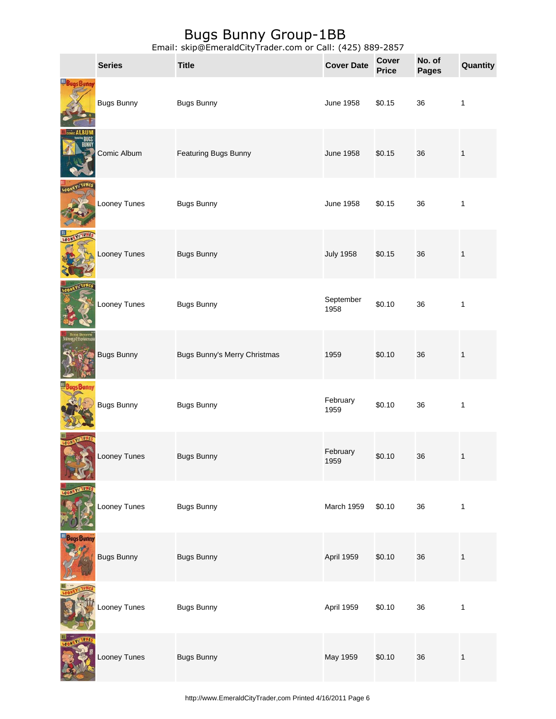|                     | <b>Series</b>     | <b>Title</b>                 | <b>Cover Date</b> | <b>Cover</b><br><b>Price</b> | No. of<br><b>Pages</b> | Quantity     |
|---------------------|-------------------|------------------------------|-------------------|------------------------------|------------------------|--------------|
|                     | <b>Bugs Bunny</b> | <b>Bugs Bunny</b>            | <b>June 1958</b>  | \$0.15                       | 36                     | $\mathbf{1}$ |
|                     | Comic Album       | Featuring Bugs Bunny         | <b>June 1958</b>  | \$0.15                       | 36                     | $\mathbf{1}$ |
|                     | Looney Tunes      | <b>Bugs Bunny</b>            | <b>June 1958</b>  | \$0.15                       | 36                     | $\mathbf{1}$ |
|                     | Looney Tunes      | <b>Bugs Bunny</b>            | <b>July 1958</b>  | \$0.15                       | 36                     | $\mathbf{1}$ |
|                     | Looney Tunes      | <b>Bugs Bunny</b>            | September<br>1958 | \$0.10                       | 36                     | $\mathbf{1}$ |
| <b>Priu Chrisme</b> | <b>Bugs Bunny</b> | Bugs Bunny's Merry Christmas | 1959              | \$0.10                       | 36                     | $\mathbf{1}$ |
|                     | <b>Bugs Bunny</b> | <b>Bugs Bunny</b>            | February<br>1959  | \$0.10                       | 36                     | $\mathbf{1}$ |
|                     | Looney Tunes      | <b>Bugs Bunny</b>            | February<br>1959  | \$0.10                       | 36                     | 1            |
|                     | Looney Tunes      | <b>Bugs Bunny</b>            | March 1959        | \$0.10                       | 36                     | $\mathbf{1}$ |
| <b>Bugs Bunny</b>   | <b>Bugs Bunny</b> | <b>Bugs Bunny</b>            | April 1959        | \$0.10                       | 36                     | $\mathbf{1}$ |
|                     | Looney Tunes      | <b>Bugs Bunny</b>            | April 1959        | \$0.10                       | 36                     | $\mathbf{1}$ |
|                     | Looney Tunes      | <b>Bugs Bunny</b>            | May 1959          | \$0.10                       | 36                     | $\mathbf 1$  |